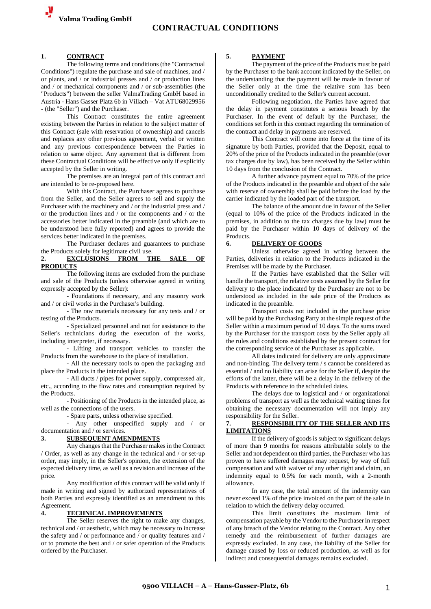#### **1. CONTRACT**

The following terms and conditions (the "Contractual Conditions") regulate the purchase and sale of machines, and / or plants, and / or industrial presses and / or production lines and / or mechanical components and / or sub-assemblies (the "Products") between the seller ValmaTrading GmbH based in Austria - Hans Gasser Platz 6b in Villach – Vat ATU68029956 - (the "Seller") and the Purchaser.

This Contract constitutes the entire agreement existing between the Parties in relation to the subject matter of this Contract (sale with reservation of ownership) and cancels and replaces any other previous agreement, verbal or written and any previous correspondence between the Parties in relation to same object. Any agreement that is different from these Contractual Conditions will be effective only if explicitly accepted by the Seller in writing.

The premises are an integral part of this contract and are intended to be re-proposed here.

With this Contract, the Purchaser agrees to purchase from the Seller, and the Seller agrees to sell and supply the Purchaser with the machinery and / or the industrial press and / or the production lines and / or the components and / or the accessories better indicated in the preamble (and which are to be understood here fully reported) and agrees to provide the services better indicated in the premises.

The Purchaser declares and guarantees to purchase the Products solely for legitimate civil use.

## **2. EXCLUSIONS FROM THE SALE OF PRODUCTS**

The following items are excluded from the purchase and sale of the Products (unless otherwise agreed in writing expressly accepted by the Seller):

- Foundations if necessary, and any masonry work and / or civil works in the Purchaser's building.

- The raw materials necessary for any tests and / or testing of the Products.

- Specialized personnel and not for assistance to the Seller's technicians during the execution of the works, including interpreter, if necessary.

- Lifting and transport vehicles to transfer the Products from the warehouse to the place of installation.

- All the necessary tools to open the packaging and place the Products in the intended place.

- All ducts / pipes for power supply, compressed air, etc., according to the flow rates and consumption required by the Products.

- Positioning of the Products in the intended place, as well as the connections of the users.

- Spare parts, unless otherwise specified.

- Any other unspecified supply and / or documentation and / or services.

#### **3. SUBSEQUENT AMENDMENTS**

Any changes that the Purchaser makes in the Contract / Order, as well as any change in the technical and / or set-up order, may imply, in the Seller's opinion, the extension of the expected delivery time, as well as a revision and increase of the price.

Any modification of this contract will be valid only if made in writing and signed by authorized representatives of both Parties and expressly identified as an amendment to this Agreement.

#### **4. TECHNICAL IMPROVEMENTS**

The Seller reserves the right to make any changes, technical and / or aesthetic, which may be necessary to increase the safety and / or performance and / or quality features and / or to promote the best and / or safer operation of the Products ordered by the Purchaser.

#### **5. PAYMENT**

The payment of the price of the Products must be paid by the Purchaser to the bank account indicated by the Seller, on the understanding that the payment will be made in favour of the Seller only at the time the relative sum has been unconditionally credited to the Seller's current account.

Following negotiation, the Parties have agreed that the delay in payment constitutes a serious breach by the Purchaser. In the event of default by the Purchaser, the conditions set forth in this contract regarding the termination of the contract and delay in payments are reserved.

This Contract will come into force at the time of its signature by both Parties, provided that the Deposit, equal to 20% of the price of the Products indicated in the preamble (over tax charges due by law), has been received by the Seller within 10 days from the conclusion of the Contract.

A further advance payment equal to 70% of the price of the Products indicated in the preamble and object of the sale with reserve of ownership shall be paid before the load by the carrier indicated by the loaded part of the transport.

The balance of the amount due in favour of the Seller (equal to 10% of the price of the Products indicated in the premises, in addition to the tax charges due by law) must be paid by the Purchaser within 10 days of delivery of the Products.

## **6. DELIVERY OF GOODS**

Unless otherwise agreed in writing between the Parties, deliveries in relation to the Products indicated in the Premises will be made by the Purchaser.

If the Parties have established that the Seller will handle the transport, the relative costs assumed by the Seller for delivery to the place indicated by the Purchaser are not to be understood as included in the sale price of the Products as indicated in the preamble.

Transport costs not included in the purchase price will be paid by the Purchasing Party at the simple request of the Seller within a maximum period of 10 days. To the sums owed by the Purchaser for the transport costs by the Seller apply all the rules and conditions established by the present contract for the corresponding service of the Purchaser as applicable.

All dates indicated for delivery are only approximate and non-binding. The delivery term / s cannot be considered as essential / and no liability can arise for the Seller if, despite the efforts of the latter, there will be a delay in the delivery of the Products with reference to the scheduled dates.

The delays due to logistical and / or organizational problems of transport as well as the technical waiting times for obtaining the necessary documentation will not imply any responsibility for the Seller.

## **7. RESPONSIBILITY OF THE SELLER AND ITS LIMITATIONS**

If the delivery of goods is subject to significant delays of more than 9 months for reasons attributable solely to the Seller and not dependent on third parties, the Purchaser who has proven to have suffered damages may request, by way of full compensation and with waiver of any other right and claim, an indemnity equal to 0.5% for each month, with a 2-month allowance.

In any case, the total amount of the indemnity can never exceed 1% of the price invoiced on the part of the sale in relation to which the delivery delay occurred.

This limit constitutes the maximum limit of compensation payable by the Vendor to the Purchaser in respect of any breach of the Vendor relating to the Contract. Any other remedy and the reimbursement of further damages are expressly excluded. In any case, the liability of the Seller for damage caused by loss or reduced production, as well as for indirect and consequential damages remains excluded.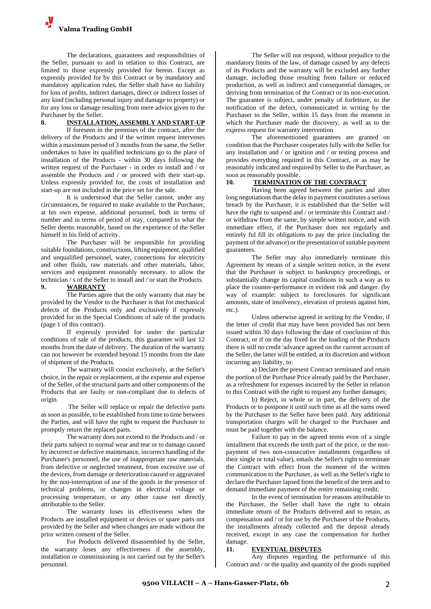

The declarations, guarantees and responsibilities of the Seller, pursuant to and in relation to this Contract, are limited to those expressly provided for herein. Except as expressly provided for by this Contract or by mandatory and mandatory application rules, the Seller shall have no liability for loss of profits, indirect damages, direct or indirect losses of any kind (including personal injury and damage to property) or for any loss or damage resulting from mere advice given to the Purchaser by the Seller.

# **8. INSTALLATION, ASSEMBLY AND START-UP**

If foreseen in the premises of the contract, after the delivery of the Products and if the written request intervenes within a maximum period of 3 months from the same, the Seller undertakes to have its qualified technicians go to the place of installation of the Products - within 30 days following the written request of the Purchaser - in order to install and / or assemble the Products and / or proceed with their start-up. Unless expressly provided for, the costs of installation and start-up are not included in the price set for the sale.

It is understood that the Seller cannot, under any circumstances, be required to make available to the Purchaser, at his own expense, additional personnel, both in terms of number and in terms of period of stay, compared to what the Seller deems reasonable, based on the experience of the Seller himself in his field of activity.

The Purchaser will be responsible for providing suitable foundations, constructions, lifting equipment, qualified and unqualified personnel, water, connections for electricity and other fluids, raw materials and other materials, labor, services and equipment reasonably necessary. to allow the technician / s of the Seller to install and / or start the Products.

#### **9. WARRANTY**

The Parties agree that the only warranty that may be provided by the Vendor to the Purchaser is that for mechanical defects of the Products only and exclusively if expressly provided for in the Special Conditions of sale of the products (page 1 of this contract).

If expressly provided for under the particular conditions of sale of the products, this guarantee will last 12 months from the date of delivery. The duration of the warranty can not however be extended beyond 15 months from the date of shipment of the Products.

The warranty will consist exclusively, at the Seller's choice, in the repair or replacement, at the expense and expense of the Seller, of the structural parts and other components of the Products that are faulty or non-compliant due to defects of origin.

The Seller will replace or repair the defective parts as soon as possible, to be established from time to time between the Parties, and will have the right to request the Purchaser to promptly return the replaced parts.

The warranty does not extend to the Products and / or their parts subject to normal wear and tear or to damage caused by incorrect or defective maintenance, incorrect handling of the Purchaser's personnel, the use of inappropriate raw materials, from defective or neglected treatment, from excessive use of the devices, from damage or deterioration caused or aggravated by the non-interruption of use of the goods in the presence of technical problems, or changes in electrical voltage or processing temperature, or any other cause not directly attributable to the Seller.

The warranty loses its effectiveness when the Products are installed equipment or devices or spare parts not provided by the Seller and when changes are made without the prior written consent of the Seller.

For Products delivered disassembled by the Seller, the warranty loses any effectiveness if the assembly, installation or commissioning is not carried out by the Seller's personnel.

The Seller will not respond, without prejudice to the mandatory limits of the law, of damage caused by any defects of its Products and the warranty will be excluded any further damage, including those resulting from failure or reduced production, as well as indirect and consequential damages, or deriving from termination of the Contract or its non-execution. The guarantee is subject, under penalty of forfeiture, to the notification of the defect, communicated in writing by the Purchaser to the Seller, within 15 days from the moment in which the Purchaser made the discovery, as well as to the express request for warranty intervention

The aforementioned guarantees are granted on condition that the Purchaser cooperates fully with the Seller for any installation and / or ignition and / or testing process and provides everything required in this Contract, or as may be reasonably indicated and required by Seller to the Purchaser, as soon as reasonably possible.

## **10. TERMINATION OF THE CONTRACT**

Having been agreed between the parties and after long negotiations that the delay in payment constitutes a serious breach by the Purchaser, it is established that the Seller will have the right to suspend and / or terminate this Contract and / or withdraw from the same, by simple written notice, and with immediate effect, if the Purchaser does not regularly and entirely ful fill its obligations to pay the price (including the payment of the advance) or the presentation of suitable payment guarantees.

The Seller may also immediately terminate this Agreement by means of a simple written notice, in the event that the Purchaser is subject to bankruptcy proceedings, or substantially change its capital conditions in such a way as to place the counter-performance in evident risk and danger. (by way of example: subject to foreclosures for significant amounts, state of insolvency, elevation of protests against him, etc.).

Unless otherwise agreed in writing by the Vendor, if the letter of credit that may have been provided has not been issued within 30 days following the date of conclusion of this Contract, or if on the day fixed for the loading of the Products there is still no credit 'advance agreed on the current account of the Seller, the latter will be entitled, at its discretion and without incurring any liability, to:

a) Declare the present Contract terminated and retain the portion of the Purchase Price already paid by the Purchaser, as a refreshment for expenses incurred by the Seller in relation to this Contract with the right to request any further damages;

b) Reject, in whole or in part, the delivery of the Products or to postpone it until such time as all the sums owed by the Purchaser to the Seller have been paid. Any additional transportation charges will be charged to the Purchaser and must be paid together with the balance.

Failure to pay in the agreed terms even of a single installment that exceeds the tenth part of the price, or the nonpayment of two non-consecutive installments (regardless of their single or total value), entails the Seller's right to terminate the Contract with effect from the moment of the written communication to the Purchaser, as well as the Seller's right to declare the Purchaser lapsed from the benefit of the term and to demand immediate payment of the entire remaining credit.

In the event of termination for reasons attributable to the Purchaser, the Seller shall have the right to obtain immediate return of the Products delivered and to retain, as compensation and / or for use by the Purchaser of the Products, the installments already collected and the deposit already received, except in any case the compensation for further damage.

## **11. EVENTUAL DISPUTES**

Any disputes regarding the performance of this Contract and / or the quality and quantity of the goods supplied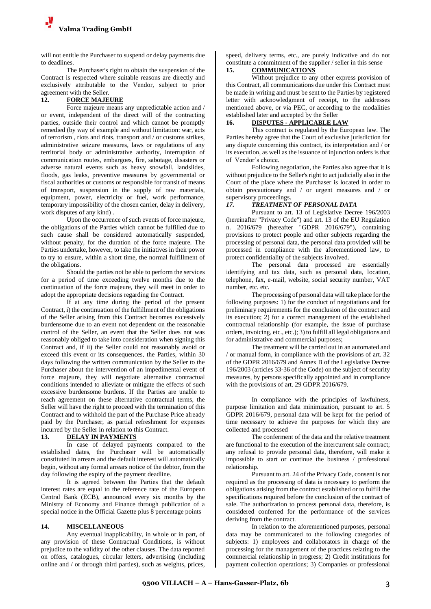

will not entitle the Purchaser to suspend or delay payments due to deadlines.

The Purchaser's right to obtain the suspension of the Contract is respected where suitable reasons are directly and exclusively attributable to the Vendor, subject to prior agreement with the Seller.

## **12. FORCE MAJEURE**

Force majeure means any unpredictable action and / or event, independent of the direct will of the contracting parties, outside their control and which cannot be promptly remedied (by way of example and without limitation: war, acts of terrorism , riots and riots, transport and / or customs strikes, administrative seizure measures, laws or regulations of any territorial body or administrative authority, interruption of communication routes, embargoes, fire, sabotage, disasters or adverse natural events such as heavy snowfall, landslides, floods, gas leaks, preventive measures by governmental or fiscal authorities or customs or responsible for transit of means of transport, suspension in the supply of raw materials, equipment, power, electricity or fuel, work performance, temporary impossibility of the chosen carrier, delay in delivery, work disputes of any kind) .

Upon the occurrence of such events of force majeure, the obligations of the Parties which cannot be fulfilled due to such cause shall be considered automatically suspended, without penalty, for the duration of the force majeure. The Parties undertake, however, to take the initiatives in their power to try to ensure, within a short time, the normal fulfillment of the obligations.

Should the parties not be able to perform the services for a period of time exceeding twelve months due to the continuation of the force majeure, they will meet in order to adopt the appropriate decisions regarding the Contract.

If at any time during the period of the present Contract, i) the continuation of the fulfillment of the obligations of the Seller arising from this Contract becomes excessively burdensome due to an event not dependent on the reasonable control of the Seller, an event that the Seller does not was reasonably obliged to take into consideration when signing this Contract and, if ii) the Seller could not reasonably avoid or exceed this event or its consequences, the Parties, within 30 days following the written communication by the Seller to the Purchaser about the intervention of an impedimental event of force majeure, they will negotiate alternative contractual conditions intended to alleviate or mitigate the effects of such excessive burdensome burdens. If the Parties are unable to reach agreement on these alternative contractual terms, the Seller will have the right to proceed with the termination of this Contract and to withhold the part of the Purchase Price already paid by the Purchaser, as partial refreshment for expenses incurred by the Seller in relation to this Contract.

## **13. DELAY IN PAYMENTS**

In case of delayed payments compared to the established dates, the Purchaser will be automatically constituted in arrears and the default interest will automatically begin, without any formal arrears notice of the debtor, from the day following the expiry of the payment deadline.

It is agreed between the Parties that the default interest rates are equal to the reference rate of the European Central Bank (ECB), announced every six months by the Ministry of Economy and Finance through publication of a special notice in the Official Gazette plus 8 percentage points

## **14. MISCELLANEOUS**

Any eventual inapplicability, in whole or in part, of any provision of these Contractual Conditions, is without prejudice to the validity of the other clauses. The data reported on offers, catalogues, circular letters, advertising (including online and / or through third parties), such as weights, prices,

speed, delivery terms, etc., are purely indicative and do not constitute a commitment of the supplier / seller in this sense<br>15 COMMUNICATIONS

# **15. COMMUNICATIONS**

Without prejudice to any other express provision of this Contract, all communications due under this Contract must be made in writing and must be sent to the Parties by registered letter with acknowledgment of receipt, to the addresses mentioned above, or via PEC, or according to the modalities established later and accepted by the Seller<br>16. DISPUTES - APPLICABLE LA

# **16. DISPUTES - APPLICABLE LAW**

This contract is regulated by the European law. The Parties hereby agree that the Court of exclusive jurisdiction for any dispute concerning this contract, its interpretation and / or its execution, as well as the issuance of injunction orders is that of Vendor's choice.

Following negotiation, the Parties also agree that it is without prejudice to the Seller's right to act judicially also in the Court of the place where the Purchaser is located in order to obtain precautionary and / or urgent measures and / or supervisory proceedings.

#### *17. TREATMENT OF PERSONAL DATA*

Pursuant to art. 13 of Legislative Decree 196/2003 (hereinafter "Privacy Code") and art. 13 of the EU Regulation n. 2016/679 (hereafter "GDPR 2016/679"), containing provisions to protect people and other subjects regarding the processing of personal data, the personal data provided will be processed in compliance with the aforementioned law, to protect confidentiality of the subjects involved.

The personal data processed are essentially identifying and tax data, such as personal data, location, telephone, fax, e-mail, website, social security number, VAT number, etc. etc.

The processing of personal data will take place for the following purposes: 1) for the conduct of negotiations and for preliminary requirements for the conclusion of the contract and its execution; 2) for a correct management of the established contractual relationship (for example, the issue of purchase orders, invoicing, etc., etc.); 3) to fulfill all legal obligations and for administrative and commercial purposes;

The treatment will be carried out in an automated and / or manual form, in compliance with the provisions of art. 32 of the GDPR 2016/679 and Annex B of the Legislative Decree 196/2003 (articles 33-36 of the Code) on the subject of security measures, by persons specifically appointed and in compliance with the provisions of art. 29 GDPR 2016/679.

In compliance with the principles of lawfulness, purpose limitation and data minimization, pursuant to art. 5 GDPR 2016/679, personal data will be kept for the period of time necessary to achieve the purposes for which they are collected and processed

The conferment of the data and the relative treatment are functional to the execution of the intercurrent sale contract; any refusal to provide personal data, therefore, will make it impossible to start or continue the business / professional relationship.

Pursuant to art. 24 of the Privacy Code, consent is not required as the processing of data is necessary to perform the obligations arising from the contract established or to fulfill the specifications required before the conclusion of the contract of sale. The authorization to process personal data, therefore, is considered conferred for the performance of the services deriving from the contract.

In relation to the aforementioned purposes, personal data may be communicated to the following categories of subjects: 1) employees and collaborators in charge of the processing for the management of the practices relating to the commercial relationship in progress; 2) Credit institutions for payment collection operations; 3) Companies or professional